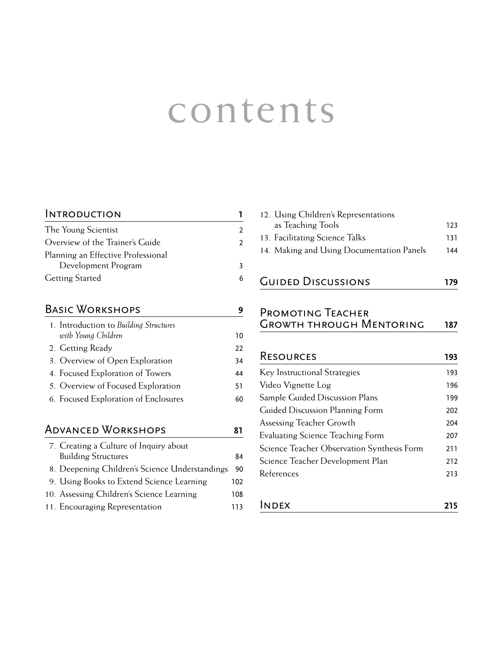## contents

| <b>INTRODUCTION</b>                                       |   |  |
|-----------------------------------------------------------|---|--|
| The Young Scientist                                       | 2 |  |
| Overview of the Trainer's Guide                           | 2 |  |
| Planning an Effective Professional<br>Development Program |   |  |
| <b>Getting Started</b>                                    |   |  |

#### Basic Workshops **9** 1. Introduction to *Building Structures with Young Children* 10 2. Getting Ready 22 3. Overview of Open Exploration 34 4. Focused Exploration of Towers 44 5. Overview of Focused Exploration 51 6. Focused Exploration of Enclosures 60 Advanced Workshops**81**

| 7. Creating a Culture of Inquiry about         |     |
|------------------------------------------------|-----|
| <b>Building Structures</b>                     | 84  |
| 8. Deepening Children's Science Understandings | 90  |
| 9. Using Books to Extend Science Learning      | 102 |
| 10. Assessing Children's Science Learning      | 108 |
| 11. Encouraging Representation                 | 113 |

| 12. Using Children's Representations      |     |  |
|-------------------------------------------|-----|--|
| as Teaching Tools                         | 123 |  |
| 13. Facilitating Science Talks            | 131 |  |
| 14. Making and Using Documentation Panels | 144 |  |
|                                           |     |  |

#### Guided Discussions**179**

#### Promoting Teacher Growth through Mentoring**187**

| <b>RESOURCES</b>                           | 193 |
|--------------------------------------------|-----|
| Key Instructional Strategies               | 193 |
| Video Vignette Log                         | 196 |
| Sample Guided Discussion Plans             | 199 |
| Guided Discussion Planning Form            | 202 |
| Assessing Teacher Growth                   |     |
| Evaluating Science Teaching Form           | 207 |
| Science Teacher Observation Synthesis Form | 211 |
| Science Teacher Development Plan           | 212 |
| References                                 | 213 |
|                                            |     |

| <b>INDEX</b> | 215 |
|--------------|-----|
|              |     |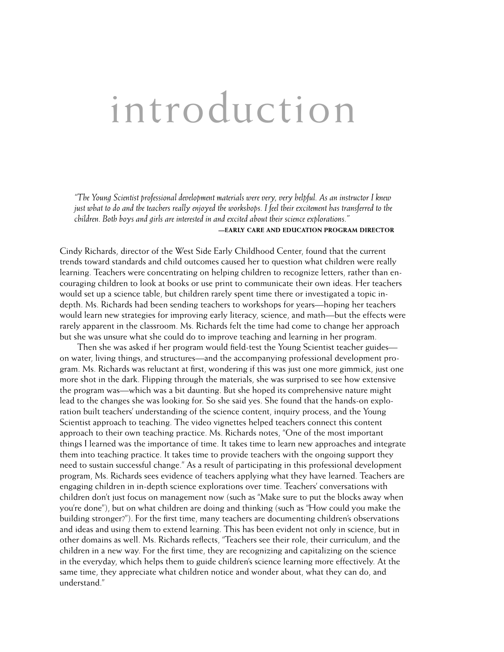# introduction

*"The Young Scientist professional development materials were very, very helpful. As an instructor I knew just what to do and the teachers really enjoyed the workshops. I feel their excitement has transferred to the children. Both boys and girls are interested in and excited about their science explorations."*

**—EARLY CARE AND EDUCATION PROGRAM DIRECTOR**

Cindy Richards, director of the West Side Early Childhood Center, found that the current trends toward standards and child outcomes caused her to question what children were really learning. Teachers were concentrating on helping children to recognize letters, rather than encouraging children to look at books or use print to communicate their own ideas. Her teachers would set up a science table, but children rarely spent time there or investigated a topic indepth. Ms. Richards had been sending teachers to workshops for years—hoping her teachers would learn new strategies for improving early literacy, science, and math—but the effects were rarely apparent in the classroom. Ms. Richards felt the time had come to change her approach but she was unsure what she could do to improve teaching and learning in her program.

Then she was asked if her program would field-test the Young Scientist teacher guides on water, living things, and structures—and the accompanying professional development program. Ms. Richards was reluctant at first, wondering if this was just one more gimmick, just one more shot in the dark. Flipping through the materials, she was surprised to see how extensive the program was—which was a bit daunting. But she hoped its comprehensive nature might lead to the changes she was looking for. So she said yes. She found that the hands-on exploration built teachers' understanding of the science content, inquiry process, and the Young Scientist approach to teaching. The video vignettes helped teachers connect this content approach to their own teaching practice. Ms. Richards notes, "One of the most important things I learned was the importance of time. It takes time to learn new approaches and integrate them into teaching practice. It takes time to provide teachers with the ongoing support they need to sustain successful change." As a result of participating in this professional development program, Ms. Richards sees evidence of teachers applying what they have learned. Teachers are engaging children in in-depth science explorations over time. Teachers' conversations with children don't just focus on management now (such as "Make sure to put the blocks away when you're done"), but on what children are doing and thinking (such as "How could you make the building stronger?"). For the first time, many teachers are documenting children's observations and ideas and using them to extend learning. This has been evident not only in science, but in other domains as well. Ms. Richards reflects, "Teachers see their role, their curriculum, and the children in a new way. For the first time, they are recognizing and capitalizing on the science in the everyday, which helps them to guide children's science learning more effectively. At the same time, they appreciate what children notice and wonder about, what they can do, and understand."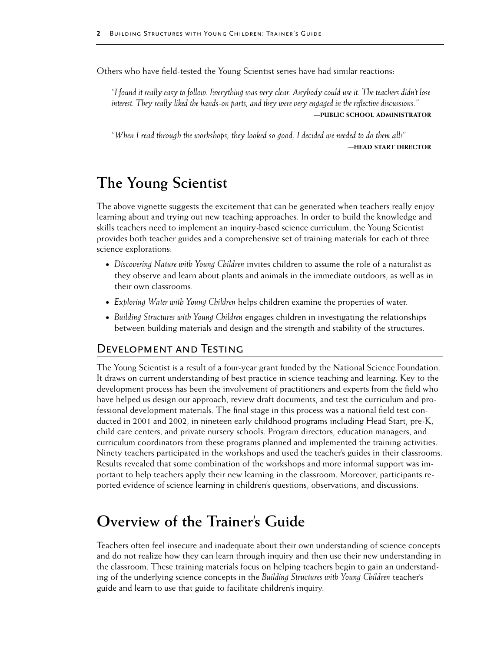Others who have field-tested the Young Scientist series have had similar reactions:

*"I found it really easy to follow. Everything was very clear. Anybody could use it. The teachers didn't lose interest. They really liked the hands-on parts, and they were very engaged in the reflective discussions."* **—PUBLIC SCHOOL ADMINISTRATOR**

*"When I read through the workshops, they looked so good, I decided we needed to do them all!"* **—HEAD START DIRECTOR**

## **The Young Scientist**

The above vignette suggests the excitement that can be generated when teachers really enjoy learning about and trying out new teaching approaches. In order to build the knowledge and skills teachers need to implement an inquiry-based science curriculum, the Young Scientist provides both teacher guides and a comprehensive set of training materials for each of three science explorations:

- *Discovering Nature with Young Children* invites children to assume the role of a naturalist as they observe and learn about plants and animals in the immediate outdoors, as well as in their own classrooms.
- *Exploring Water with Young Children* helps children examine the properties of water.
- *Building Structures with Young Children* engages children in investigating the relationships between building materials and design and the strength and stability of the structures.

#### Development and Testing

The Young Scientist is a result of a four-year grant funded by the National Science Foundation. It draws on current understanding of best practice in science teaching and learning. Key to the development process has been the involvement of practitioners and experts from the field who have helped us design our approach, review draft documents, and test the curriculum and professional development materials. The final stage in this process was a national field test conducted in 2001 and 2002, in nineteen early childhood programs including Head Start, pre-K, child care centers, and private nursery schools. Program directors, education managers, and curriculum coordinators from these programs planned and implemented the training activities. Ninety teachers participated in the workshops and used the teacher's guides in their classrooms. Results revealed that some combination of the workshops and more informal support was important to help teachers apply their new learning in the classroom. Moreover, participants reported evidence of science learning in children's questions, observations, and discussions.

## **Overview of the Trainer's Guide**

Teachers often feel insecure and inadequate about their own understanding of science concepts and do not realize how they can learn through inquiry and then use their new understanding in the classroom. These training materials focus on helping teachers begin to gain an understanding of the underlying science concepts in the *Building Structures with Young Children* teacher's guide and learn to use that guide to facilitate children's inquiry.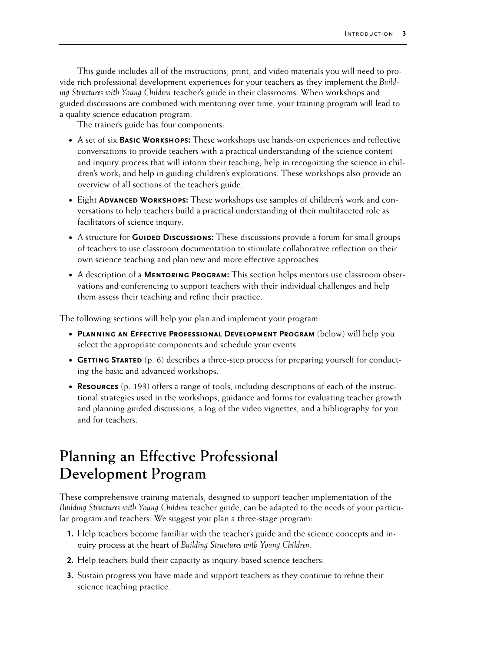This guide includes all of the instructions, print, and video materials you will need to provide rich professional development experiences for your teachers as they implement the *Building Structures with Young Children* teacher's guide in their classrooms. When workshops and guided discussions are combined with mentoring over time, your training program will lead to a quality science education program.

The trainer's guide has four components:

- A set of six **Basic Workshops:** These workshops use hands-on experiences and reflective conversations to provide teachers with a practical understanding of the science content and inquiry process that will inform their teaching, help in recognizing the science in children's work; and help in guiding children's explorations. These workshops also provide an overview of all sections of the teacher's guide.
- Eight **Advanced Workshops:** These workshops use samples of children's work and conversations to help teachers build a practical understanding of their multifaceted role as facilitators of science inquiry.
- A structure for **Guided Discussions:** These discussions provide a forum for small groups of teachers to use classroom documentation to stimulate collaborative reflection on their own science teaching and plan new and more effective approaches.
- A description of a **Mentoring Program:** This section helps mentors use classroom observations and conferencing to support teachers with their individual challenges and help them assess their teaching and refine their practice.

The following sections will help you plan and implement your program:

- **Planning an Effective Professional Development Program** (below) will help you select the appropriate components and schedule your events.
- **GETTING STARTED** (p. 6) describes a three-step process for preparing yourself for conducting the basic and advanced workshops.
- **Resources** (p. 193) offers a range of tools, including descriptions of each of the instructional strategies used in the workshops, guidance and forms for evaluating teacher growth and planning guided discussions, a log of the video vignettes, and a bibliography for you and for teachers.

## **Planning an Effective Professional Development Program**

These comprehensive training materials, designed to support teacher implementation of the *Building Structures with Young Children* teacher guide, can be adapted to the needs of your particular program and teachers. We suggest you plan a three-stage program:

- **1.** Help teachers become familiar with the teacher's guide and the science concepts and inquiry process at the heart of *Building Structures with Young Children.*
- **2.** Help teachers build their capacity as inquiry-based science teachers.
- **3.** Sustain progress you have made and support teachers as they continue to refine their science teaching practice.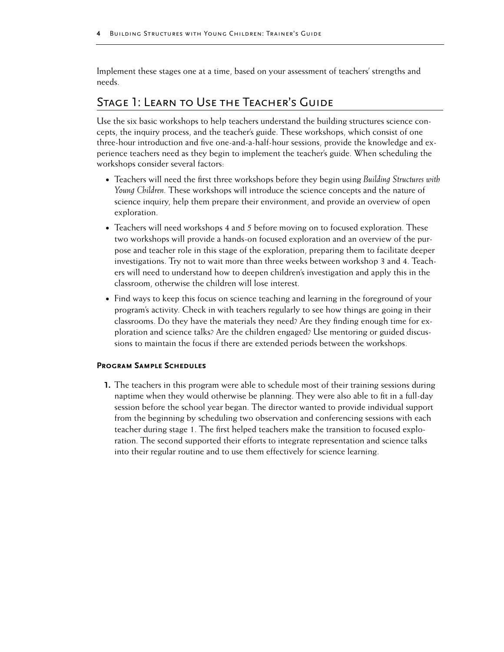Implement these stages one at a time, based on your assessment of teachers' strengths and needs.

#### Stage 1: Learn to Use the Teacher's Guide

Use the six basic workshops to help teachers understand the building structures science concepts, the inquiry process, and the teacher's guide. These workshops, which consist of one three-hour introduction and five one-and-a-half-hour sessions, provide the knowledge and experience teachers need as they begin to implement the teacher's guide. When scheduling the workshops consider several factors:

- Teachers will need the first three workshops before they begin using *Building Structures with Young Children.* These workshops will introduce the science concepts and the nature of science inquiry, help them prepare their environment, and provide an overview of open exploration.
- Teachers will need workshops 4 and 5 before moving on to focused exploration. These two workshops will provide a hands-on focused exploration and an overview of the purpose and teacher role in this stage of the exploration, preparing them to facilitate deeper investigations. Try not to wait more than three weeks between workshop 3 and 4. Teachers will need to understand how to deepen children's investigation and apply this in the classroom, otherwise the children will lose interest.
- Find ways to keep this focus on science teaching and learning in the foreground of your program's activity. Check in with teachers regularly to see how things are going in their classrooms. Do they have the materials they need? Are they finding enough time for exploration and science talks? Are the children engaged? Use mentoring or guided discussions to maintain the focus if there are extended periods between the workshops.

#### **Program Sample Schedules**

**1.** The teachers in this program were able to schedule most of their training sessions during naptime when they would otherwise be planning. They were also able to fit in a full-day session before the school year began. The director wanted to provide individual support from the beginning by scheduling two observation and conferencing sessions with each teacher during stage 1. The first helped teachers make the transition to focused exploration. The second supported their efforts to integrate representation and science talks into their regular routine and to use them effectively for science learning.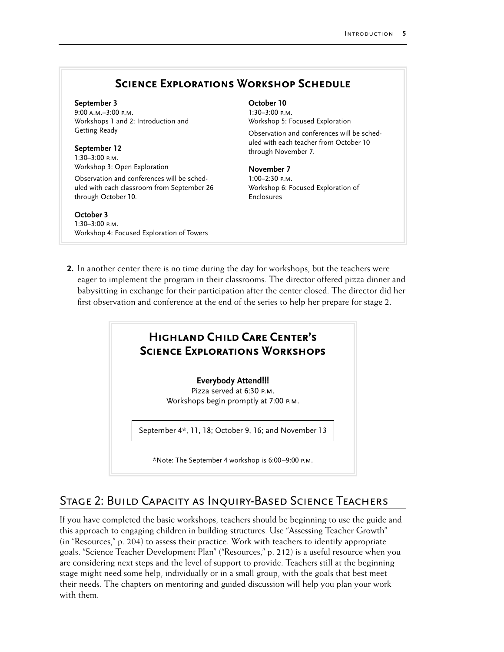#### **Science Explorations Workshop Schedule**

**September 3**  9:00 a.m.–3:00 p.m. Workshops 1 and 2: Introduction and Getting Ready

**September 12**  1:30–3:00 p.m. Workshop 3: Open Exploration Observation and conferences will be scheduled with each classroom from September 26 through October 10.

**October 3**  1:30–3:00 p.m. Workshop 4: Focused Exploration of Towers **October 10**  1:30–3:00 p.m. Workshop 5: Focused Exploration

Observation and conferences will be scheduled with each teacher from October 10 through November 7.

#### **November 7**

1:00–2:30 p.m. Workshop 6: Focused Exploration of Enclosures

**2.** In another center there is no time during the day for workshops, but the teachers were eager to implement the program in their classrooms. The director offered pizza dinner and babysitting in exchange for their participation after the center closed. The director did her first observation and conference at the end of the series to help her prepare for stage 2.

### **Highland Child Care Center's Science Explorations Workshops**

**Everybody Attend!!!**

Pizza served at 6:30 p.m. Workshops begin promptly at 7:00 p.m.

September 4\*, 11, 18; October 9, 16; and November 13

\*Note: The September 4 workshop is 6:00–9:00 p.m.

## Stage 2: Build Capacity as Inquiry-Based Science Teachers

If you have completed the basic workshops, teachers should be beginning to use the guide and this approach to engaging children in building structures. Use "Assessing Teacher Growth" (in "Resources," p. 204) to assess their practice. Work with teachers to identify appropriate goals. "Science Teacher Development Plan" ("Resources," p. 212) is a useful resource when you are considering next steps and the level of support to provide. Teachers still at the beginning stage might need some help, individually or in a small group, with the goals that best meet their needs. The chapters on mentoring and guided discussion will help you plan your work with them.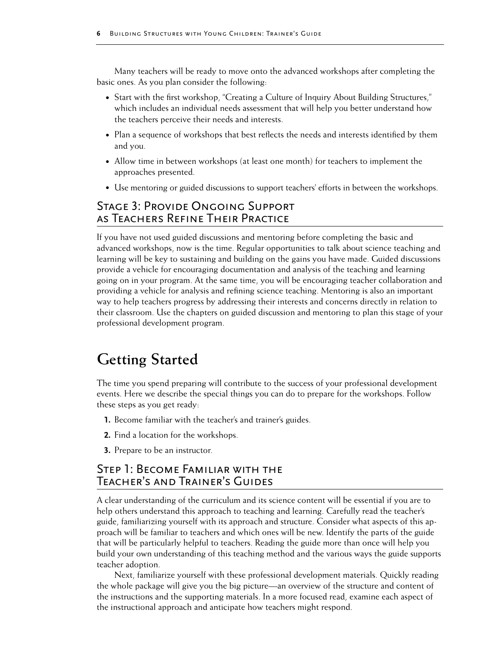Many teachers will be ready to move onto the advanced workshops after completing the basic ones. As you plan consider the following:

- Start with the first workshop, "Creating a Culture of Inquiry About Building Structures," which includes an individual needs assessment that will help you better understand how the teachers perceive their needs and interests.
- Plan a sequence of workshops that best reflects the needs and interests identified by them and you.
- Allow time in between workshops (at least one month) for teachers to implement the approaches presented.
- Use mentoring or guided discussions to support teachers' efforts in between the workshops.

#### Stage 3: Provide Ongoing Support as Teachers Refine Their Practice

If you have not used guided discussions and mentoring before completing the basic and advanced workshops, now is the time. Regular opportunities to talk about science teaching and learning will be key to sustaining and building on the gains you have made. Guided discussions provide a vehicle for encouraging documentation and analysis of the teaching and learning going on in your program. At the same time, you will be encouraging teacher collaboration and providing a vehicle for analysis and refining science teaching. Mentoring is also an important way to help teachers progress by addressing their interests and concerns directly in relation to their classroom. Use the chapters on guided discussion and mentoring to plan this stage of your professional development program.

## **Getting Started**

The time you spend preparing will contribute to the success of your professional development events. Here we describe the special things you can do to prepare for the workshops. Follow these steps as you get ready:

- **1.** Become familiar with the teacher's and trainer's guides.
- **2.** Find a location for the workshops.
- **3.** Prepare to be an instructor.

#### Step 1: Become Familiar with the Teacher's and Trainer's Guides

A clear understanding of the curriculum and its science content will be essential if you are to help others understand this approach to teaching and learning. Carefully read the teacher's guide, familiarizing yourself with its approach and structure. Consider what aspects of this approach will be familiar to teachers and which ones will be new. Identify the parts of the guide that will be particularly helpful to teachers. Reading the guide more than once will help you build your own understanding of this teaching method and the various ways the guide supports teacher adoption.

Next, familiarize yourself with these professional development materials. Quickly reading the whole package will give you the big picture—an overview of the structure and content of the instructions and the supporting materials. In a more focused read, examine each aspect of the instructional approach and anticipate how teachers might respond.